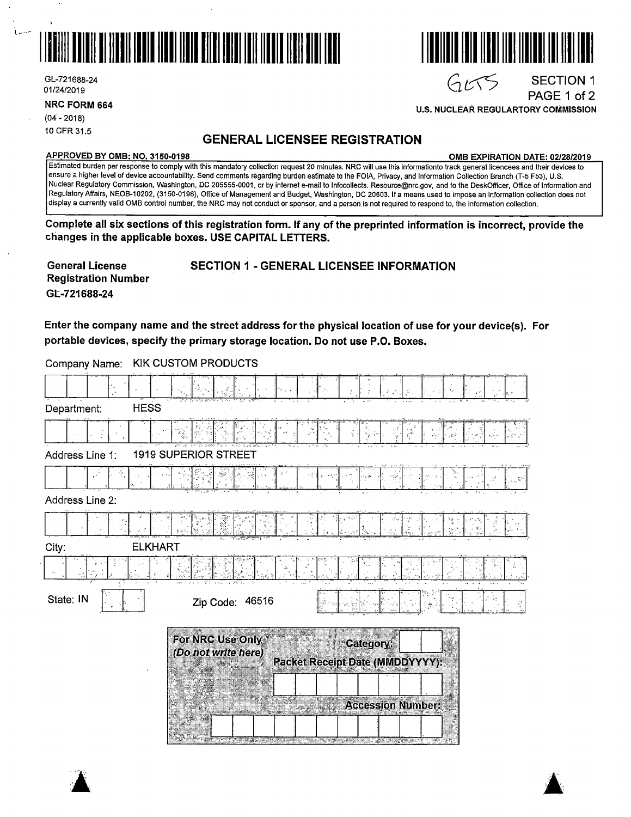

GL-721688-24 01/24/2019

**NRC FORM 664** 

 $(04 - 2018)$ 10 CFR 31.5

## **GENERAL LICENSEE REGISTRATION**

#### **APPROVED BY 0MB: NO. 3150-0198 0MB EXPIRATION DATE: 02/28/2019**

**U.S. NUCLEAR REGIJLARTORY COMMISSION** 

SECTION 1 PAGE 1 of 2

> $\blacktriangle$ a:

I III LLILLI LILLI LILLI 1

 $G\mathcal{L}S$ 

Estimated burden per response to comply with this mandatory collection request 20 minutes. **NRC will** use this informationto track general licencees and their devices to ensure a higher level of device accountability. Send comments regarding burden estimate to the FOIA, Privacy, and Information Collection Branch (T-5 F53), U.S. Nuclear Regulatory Commission, Washington, DC 205555-0001, or by internet e-mail to lnfocollects. Resource@nrc.gov, and to the DeskOfficer, Office of Information and Regulatory Affairs, NEOB-10202, (3150-0198), Office of Management and Budget, Washington, DC 20503. If a means used to impose an information collection does not display a currently valid 0MB control number, the NRC may not conduct or sponsor, and a person is not required to respond to, fhe information collection.

**Complete all six sections of this registration form. If any of the preprinted information is incorrect, provide the changes in the applicable boxes. USE CAPITAL LETTERS.** 

| <b>General License</b>     | <b>SECTION 1 - GENERAL LICENSEE INFORMATION</b> |
|----------------------------|-------------------------------------------------|
| <b>Registration Number</b> |                                                 |
| GL-721688-24               |                                                 |

Enter the company name and the street address for the physical location of use for your device(s). For portable devices, specify the primary storage location. Do not use P.O. Boxes.

| Department:     | <b>HESS</b>                             |                                                                                                                 |                          |
|-----------------|-----------------------------------------|-----------------------------------------------------------------------------------------------------------------|--------------------------|
|                 |                                         |                                                                                                                 |                          |
| Address Line 1: | <b>1919 SUPERIOR STREET</b>             |                                                                                                                 |                          |
|                 |                                         |                                                                                                                 |                          |
| Address Line 2: |                                         |                                                                                                                 |                          |
|                 | はぶち                                     |                                                                                                                 |                          |
| City:           | <b>ELKHART</b>                          |                                                                                                                 |                          |
|                 |                                         |                                                                                                                 |                          |
| State: IN       | Zip Code: 46516                         |                                                                                                                 | f.                       |
|                 | For NRC Use Only<br>(Do not write here) | Category:<br><b>Packet Receipt Date (MMDDYYYY):</b><br><u> 1965 - Januar Berg, Amerikaansk filozof († 1988)</u> | <b>Accessión Number:</b> |

Company Name: KIK CUSTOM PRODUCTS

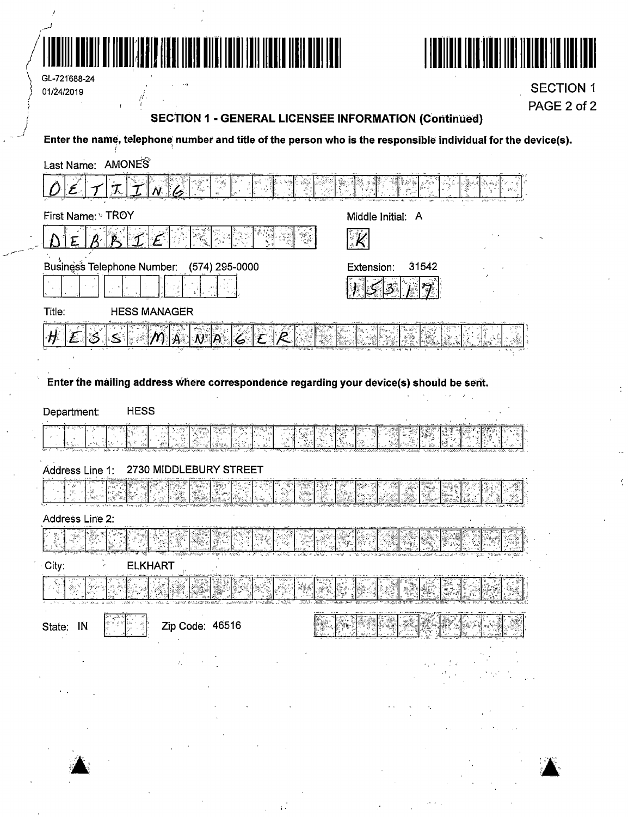

 $\frac{d}{dt}$ 

 $\bar{\mathbf{r}}$ 



GL-721688-24 01/24/2019

**SECTION 1** PAGE 2 of 2

 $\ddot{\cdot}$ 

# **SECTION 1 - GENERAL LICENSEE INFORMATION (Continued)**

Enter the name, telephone number and title of the person who is the responsible individual for the device(s).

| 7.<br>Middle Initial: A<br>$\mathcal{K}$<br>P<br>ୀ<br>$\mathcal{E}$<br>31542<br>Extension:<br><b>HESS MANAGER</b><br>Title:<br>$\eta _{\mathbb A}\, \,$ $\partial\, \,$ $\beta\, \,$ $\leq$<br>Ħ<br>Enter the mailing address where correspondence regarding your device(s) should be sent.<br><b>HESS</b><br>2730 MIDDLEBURY STREET<br><b>ELKHART</b><br>Zip Code: 46516<br>$\hat{\rho}_\alpha$<br>$\hat{\boldsymbol{\theta}}$ | Last Name: AMONES                         |  |
|---------------------------------------------------------------------------------------------------------------------------------------------------------------------------------------------------------------------------------------------------------------------------------------------------------------------------------------------------------------------------------------------------------------------------------|-------------------------------------------|--|
|                                                                                                                                                                                                                                                                                                                                                                                                                                 |                                           |  |
|                                                                                                                                                                                                                                                                                                                                                                                                                                 | First Name: GTROY                         |  |
|                                                                                                                                                                                                                                                                                                                                                                                                                                 |                                           |  |
|                                                                                                                                                                                                                                                                                                                                                                                                                                 | Business Telephone Number: (574) 295-0000 |  |
|                                                                                                                                                                                                                                                                                                                                                                                                                                 |                                           |  |
|                                                                                                                                                                                                                                                                                                                                                                                                                                 |                                           |  |
|                                                                                                                                                                                                                                                                                                                                                                                                                                 |                                           |  |
|                                                                                                                                                                                                                                                                                                                                                                                                                                 |                                           |  |
|                                                                                                                                                                                                                                                                                                                                                                                                                                 |                                           |  |
|                                                                                                                                                                                                                                                                                                                                                                                                                                 | Department:                               |  |
|                                                                                                                                                                                                                                                                                                                                                                                                                                 |                                           |  |
|                                                                                                                                                                                                                                                                                                                                                                                                                                 | Address Line 1:                           |  |
|                                                                                                                                                                                                                                                                                                                                                                                                                                 |                                           |  |
|                                                                                                                                                                                                                                                                                                                                                                                                                                 | Address Line 2:                           |  |
|                                                                                                                                                                                                                                                                                                                                                                                                                                 |                                           |  |
|                                                                                                                                                                                                                                                                                                                                                                                                                                 | City:                                     |  |
|                                                                                                                                                                                                                                                                                                                                                                                                                                 |                                           |  |
|                                                                                                                                                                                                                                                                                                                                                                                                                                 | State: IN                                 |  |
|                                                                                                                                                                                                                                                                                                                                                                                                                                 |                                           |  |
|                                                                                                                                                                                                                                                                                                                                                                                                                                 | $\sigma_{\rm{max}}=0.1$                   |  |



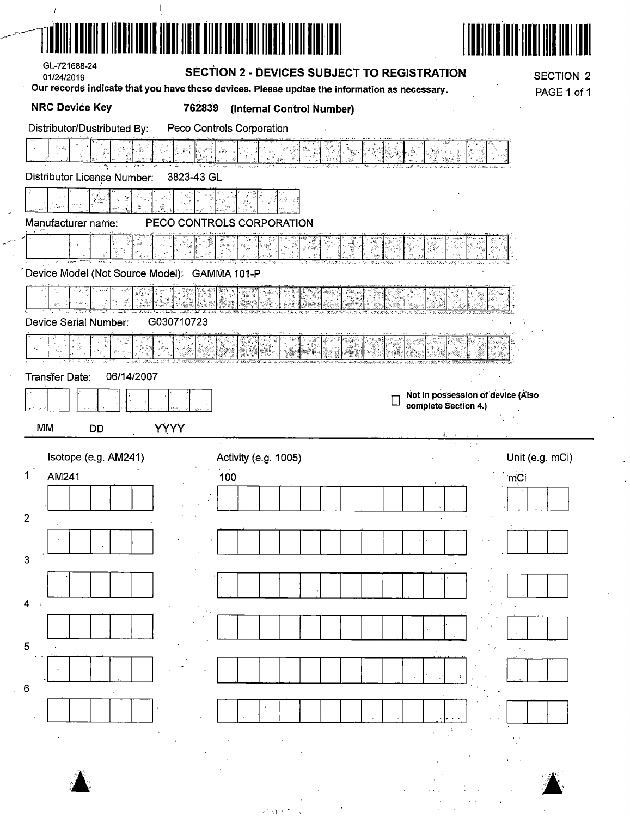| GL-721688-24                                 |                                                                                                                                                     |                                   |
|----------------------------------------------|-----------------------------------------------------------------------------------------------------------------------------------------------------|-----------------------------------|
| 01/24/2019                                   | <b>SECTION 2 - DEVICES SUBJECT TO REGISTRATION</b><br>Our records indicate that you have these devices. Please updtae the information as necessary. | <b>SECTION 2</b><br>PAGE 1 of 1   |
| <b>NRC Device Key</b><br>762839              | (Internal Control Number)                                                                                                                           |                                   |
| Distributor/Dustributed By:                  | Peco Controls Corporation                                                                                                                           |                                   |
| $\mathcal{E}^{\mathbb{N}_k^{\times}}$        | Į                                                                                                                                                   |                                   |
| Distributor License Number:<br>3823-43 GL    |                                                                                                                                                     |                                   |
|                                              |                                                                                                                                                     |                                   |
| Manufacturer name:                           | PECO CONTROLS CORPORATION                                                                                                                           |                                   |
|                                              | Ÿ.                                                                                                                                                  |                                   |
| Device Model (Not Source Model): GAMMA 101-P |                                                                                                                                                     |                                   |
| Ş.<br>$\epsilon$ , $\geq$<br>강 :             |                                                                                                                                                     |                                   |
| Device Serial Number:<br>G030710723          |                                                                                                                                                     |                                   |
|                                              |                                                                                                                                                     |                                   |
| 06/14/2007                                   |                                                                                                                                                     |                                   |
| <b>Transfer Date:</b>                        |                                                                                                                                                     | Not in possession of device (Also |
|                                              |                                                                                                                                                     | complete Section 4.)              |
| MM<br>YYYY<br>DD                             |                                                                                                                                                     | $\tau$ .                          |
| Isotope (e.g. AM241)                         | Activity (e.g. 1005)                                                                                                                                | Unit (e.g. mCi)                   |
| 1<br>AM241                                   | 100                                                                                                                                                 | mCi                               |
| $\overline{2}$                               |                                                                                                                                                     |                                   |
|                                              |                                                                                                                                                     |                                   |
| 3                                            |                                                                                                                                                     |                                   |
|                                              |                                                                                                                                                     |                                   |
| $\overline{\mathbf{4}}$                      |                                                                                                                                                     |                                   |
|                                              |                                                                                                                                                     |                                   |
| $\overline{5}$                               |                                                                                                                                                     |                                   |
|                                              |                                                                                                                                                     |                                   |
| $\,6\,$                                      |                                                                                                                                                     |                                   |
|                                              |                                                                                                                                                     |                                   |
|                                              |                                                                                                                                                     |                                   |
|                                              |                                                                                                                                                     |                                   |
|                                              |                                                                                                                                                     |                                   |
|                                              | $\sigma = 0.3$                                                                                                                                      |                                   |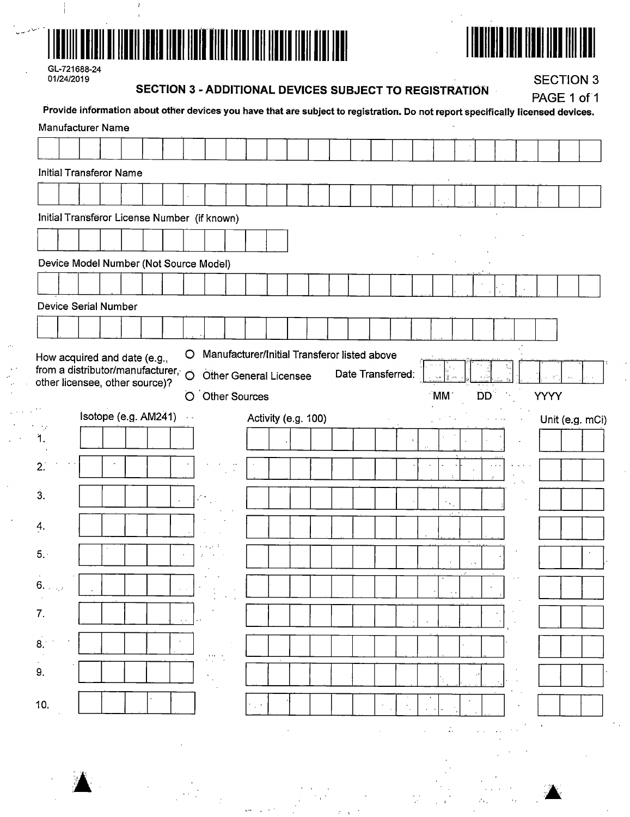



| GL-721688-24 |
|--------------|
| 01/24/2019   |

## **SECTION 3 - ADDITIONAL DEVICES SUBJECT TO REGISTRATION**

**SECTION 3** 

| Provide information about other devices you have that are subject to registration. Do not report specifically licensed devices. |                      |  |                                         |                |  |                      |                               |                                              |                   |    |                   |       |           |  | PAGE 1 of 1 |                 |
|---------------------------------------------------------------------------------------------------------------------------------|----------------------|--|-----------------------------------------|----------------|--|----------------------|-------------------------------|----------------------------------------------|-------------------|----|-------------------|-------|-----------|--|-------------|-----------------|
| Manufacturer Name                                                                                                               |                      |  |                                         |                |  |                      |                               |                                              |                   |    |                   |       |           |  |             |                 |
|                                                                                                                                 |                      |  |                                         |                |  |                      |                               |                                              |                   |    |                   |       |           |  |             |                 |
| <b>Initial Transferor Name</b>                                                                                                  |                      |  |                                         |                |  |                      |                               |                                              |                   |    |                   |       |           |  |             |                 |
|                                                                                                                                 |                      |  |                                         |                |  |                      |                               |                                              |                   |    |                   |       |           |  |             |                 |
| Initial Transferor License Number (if known)                                                                                    |                      |  |                                         |                |  |                      |                               |                                              |                   |    |                   |       |           |  |             |                 |
|                                                                                                                                 |                      |  |                                         |                |  |                      |                               |                                              |                   |    |                   |       |           |  |             |                 |
| Device Model Number (Not Source Model)                                                                                          |                      |  |                                         |                |  |                      |                               |                                              |                   |    |                   |       |           |  |             |                 |
|                                                                                                                                 |                      |  |                                         |                |  |                      |                               |                                              |                   |    |                   |       |           |  |             |                 |
| <b>Device Serial Number</b>                                                                                                     |                      |  |                                         |                |  |                      |                               |                                              |                   |    |                   |       |           |  |             |                 |
|                                                                                                                                 |                      |  |                                         |                |  |                      |                               |                                              |                   |    |                   |       |           |  |             |                 |
| How acquired and date (e.g.,                                                                                                    |                      |  |                                         | $\circ$        |  |                      |                               | Manufacturer/Initial Transferor listed above |                   |    |                   |       |           |  |             |                 |
| from a distributor/manufacturer,<br>other licensee, other source)?                                                              |                      |  |                                         | $\ddot{\circ}$ |  |                      | <b>Other General Licensee</b> |                                              | Date Transferred: |    |                   |       |           |  |             |                 |
|                                                                                                                                 |                      |  |                                         | O              |  | <b>Other Sources</b> |                               |                                              |                   |    | MM <sup>-</sup>   |       | <b>DD</b> |  | YYYY        |                 |
| e, e<br>-18                                                                                                                     | Isotope (e.g. AM241) |  |                                         | $\sim$ $\sim$  |  |                      |                               | Activity (e.g. 100)                          |                   |    |                   |       |           |  |             | Unit (e.g. mCi) |
| $\overline{1}$ .                                                                                                                |                      |  |                                         |                |  |                      |                               |                                              |                   | ÷, |                   |       |           |  |             |                 |
| 2.                                                                                                                              |                      |  |                                         |                |  |                      |                               |                                              |                   |    |                   |       |           |  |             |                 |
| 3.                                                                                                                              |                      |  |                                         |                |  |                      |                               |                                              |                   |    |                   |       |           |  |             |                 |
|                                                                                                                                 |                      |  |                                         |                |  |                      |                               |                                              |                   |    | $\gamma_{\rm{A}}$ | atuan |           |  |             |                 |
| 4.                                                                                                                              |                      |  |                                         |                |  |                      |                               |                                              |                   |    |                   |       |           |  |             |                 |
| 5.                                                                                                                              |                      |  |                                         |                |  |                      |                               |                                              |                   |    |                   |       |           |  |             |                 |
| $\sim$<br>6.14                                                                                                                  |                      |  |                                         |                |  |                      |                               |                                              |                   |    |                   |       |           |  |             |                 |
|                                                                                                                                 |                      |  | $\sim$ $\sim$                           |                |  |                      |                               |                                              |                   |    |                   |       |           |  |             |                 |
| 7.                                                                                                                              |                      |  | $\lambda_{\rm{c}}$ , $\lambda_{\rm{c}}$ |                |  |                      |                               |                                              |                   |    |                   |       |           |  |             |                 |
| 8.14                                                                                                                            |                      |  |                                         |                |  |                      |                               |                                              |                   |    |                   |       |           |  |             |                 |
| $\gamma$<br>9.                                                                                                                  |                      |  |                                         |                |  |                      |                               |                                              |                   |    |                   |       |           |  |             |                 |
|                                                                                                                                 |                      |  |                                         |                |  |                      |                               |                                              |                   |    |                   |       |           |  |             |                 |
|                                                                                                                                 |                      |  |                                         |                |  |                      |                               |                                              |                   |    |                   |       |           |  |             |                 |
| 10.                                                                                                                             |                      |  |                                         |                |  |                      |                               |                                              |                   |    |                   |       |           |  |             |                 |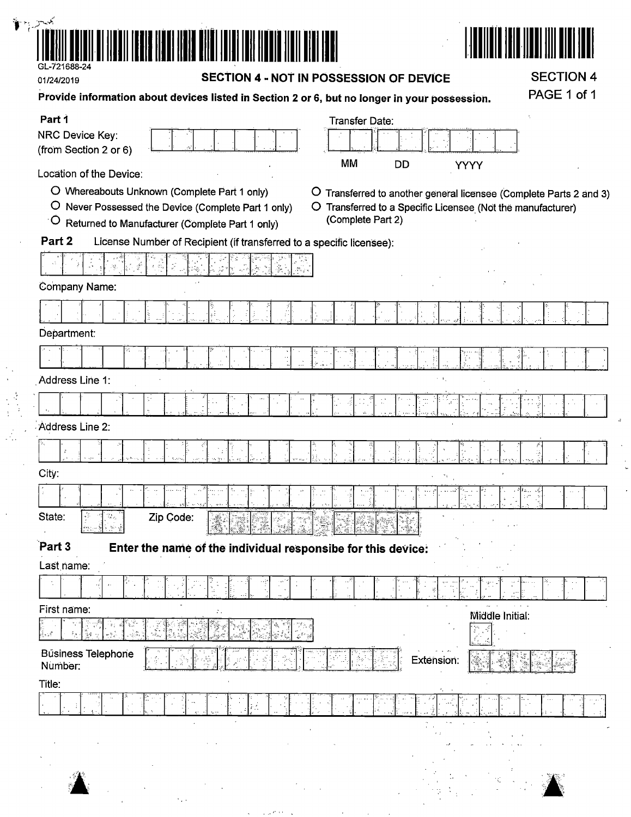

01/24/2019

 $\frac{1}{2}$ 

 $\lambda$ 

#### **SECTION 4 - NOT IN POSSESSION OF DEVICE**

**SECTION 4** PAGE 1 of 1

 $\mathcal{L}$ 

| Part 1                                                                                                                      | <b>Transfer Date:</b>                                                          |
|-----------------------------------------------------------------------------------------------------------------------------|--------------------------------------------------------------------------------|
| NRC Device Key:                                                                                                             |                                                                                |
| (from Section 2 or 6)                                                                                                       | MM<br><b>DD</b><br><b>YYYY</b>                                                 |
| Location of the Device:                                                                                                     |                                                                                |
| O Whereabouts Unknown (Complete Part 1 only)                                                                                | O Transferred to another general licensee (Complete Parts 2 and 3)             |
| O<br>Never Possessed the Device (Complete Part 1 only)<br>O.<br>$\sigma$<br>Returned to Manufacturer (Complete Part 1 only) | Transferred to a Specific Licensee (Not the manufacturer)<br>(Complete Part 2) |
| Part 2<br>License Number of Recipient (if transferred to a specific licensee):                                              |                                                                                |
|                                                                                                                             |                                                                                |
| Company Name:                                                                                                               |                                                                                |
|                                                                                                                             |                                                                                |
| Department:                                                                                                                 |                                                                                |
|                                                                                                                             |                                                                                |
| Address Line 1:                                                                                                             |                                                                                |
| ţ.                                                                                                                          |                                                                                |
| Address Line 2:                                                                                                             |                                                                                |
|                                                                                                                             |                                                                                |
| City:                                                                                                                       |                                                                                |
|                                                                                                                             |                                                                                |
| State:<br>Ť<br>Zip Code:<br>Tingan.<br>Tan                                                                                  |                                                                                |
| Part 3<br>Enter the name of the individual responsibe for this device:                                                      |                                                                                |
| Last name:                                                                                                                  |                                                                                |
|                                                                                                                             | ÷                                                                              |
| First name:<br>Λ.                                                                                                           | Middle Initial:                                                                |
| .<br>Dr                                                                                                                     |                                                                                |
| <b>Business Telephone</b><br>Number:                                                                                        | Extension:                                                                     |
| Title:                                                                                                                      | ٠.                                                                             |
| ÷                                                                                                                           |                                                                                |
|                                                                                                                             |                                                                                |
|                                                                                                                             |                                                                                |
|                                                                                                                             |                                                                                |
|                                                                                                                             |                                                                                |

 $\mu$  and  $\mu$ 

 $\epsilon_{\rm{max}}$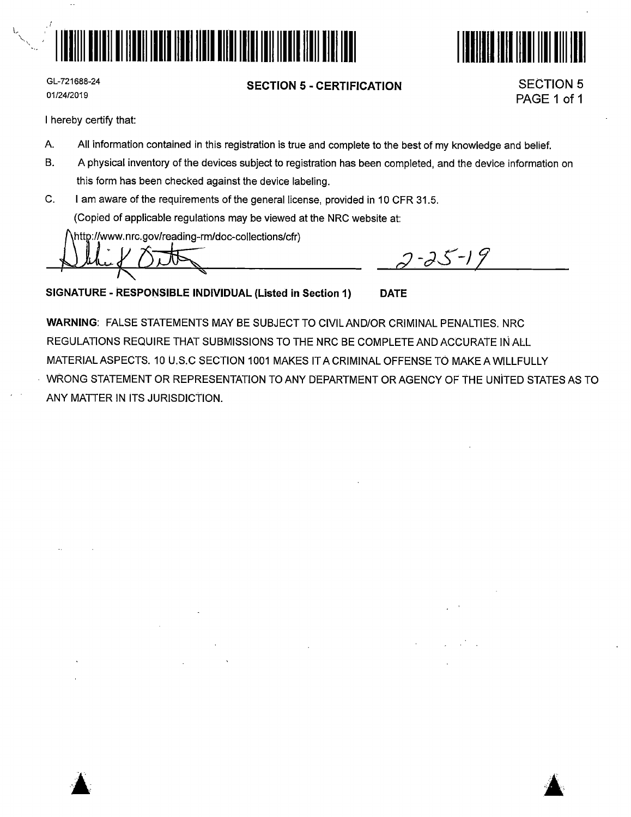



GL-721688-24 01/24/2019

#### **SECTION 5 - CERTIFICATION**

SECTION 5 PAGE 1 of 1

I hereby certify that:

- A. All information contained in this registration is true and complete to the best of my knowledge and belief.
- B. A physical inventory of the devices subject to registration has been completed, and the device information on this form has been checked against the device labeling.
- C. I am aware of the requirements of the general license, provided in 10 CFR 31.5. (Copied of applicable regulations may be viewed at the NRG website at:

http://www.nrc.gov/reading-rm/doc-collections/cfr)

 $2 - 25 - 19$ 

**SIGNATURE - RESPONSIBLE INDIVIDUAL (Listed in Section 1) DATE** 

**WARNING:** FALSE STATEMENTS MAY BE SUBJECT TO CIVILAND/OR CRIMINAL PENALTIES. NRC REGULATIONS REQUIRE THAT SUBMISSIONS TO THE NRC BE COMPLETE AND ACCURATE INALL MATERIAL ASPECTS. 10 U.S.C SECTION 1001 MAKES IT A CRIMINAL OFFENSE TO MAKE A WILLFULLY WRONG STATEMENT OR REPRESENTATION TO ANY DEPARTMENT OR AGENCY OF THE UNiTED STATES AS TO ANY MATTER IN ITS JURISDICTION.